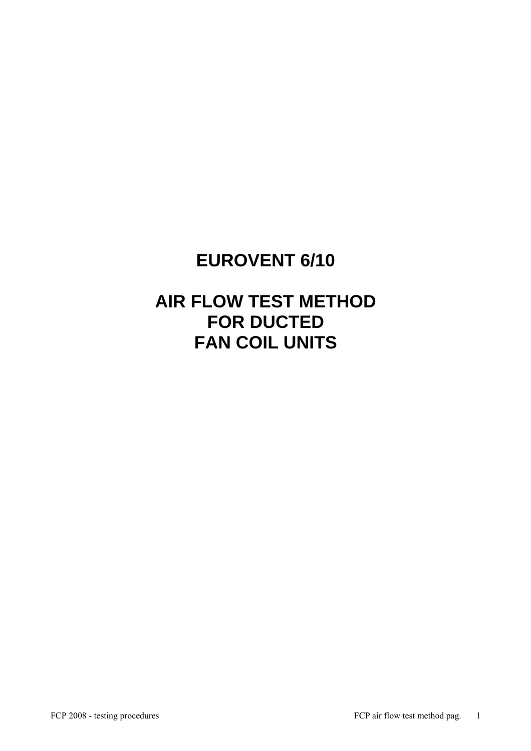# **EUROVENT 6/10**

# **AIR FLOW TEST METHOD FOR DUCTED FAN COIL UNITS**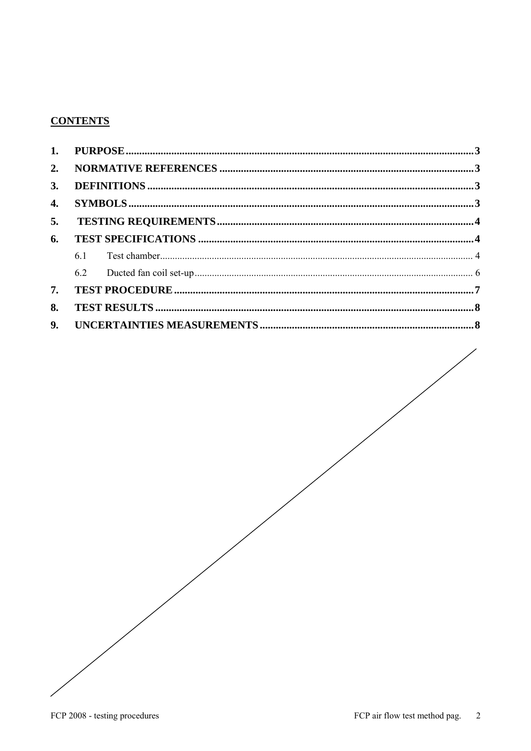## **CONTENTS**

| 2.             |    |  |  |  |
|----------------|----|--|--|--|
| 3.             |    |  |  |  |
| 4.             |    |  |  |  |
| 5.             |    |  |  |  |
| 6.             |    |  |  |  |
|                | 61 |  |  |  |
|                |    |  |  |  |
| 7.             |    |  |  |  |
| 8.             |    |  |  |  |
| 9 <sub>r</sub> |    |  |  |  |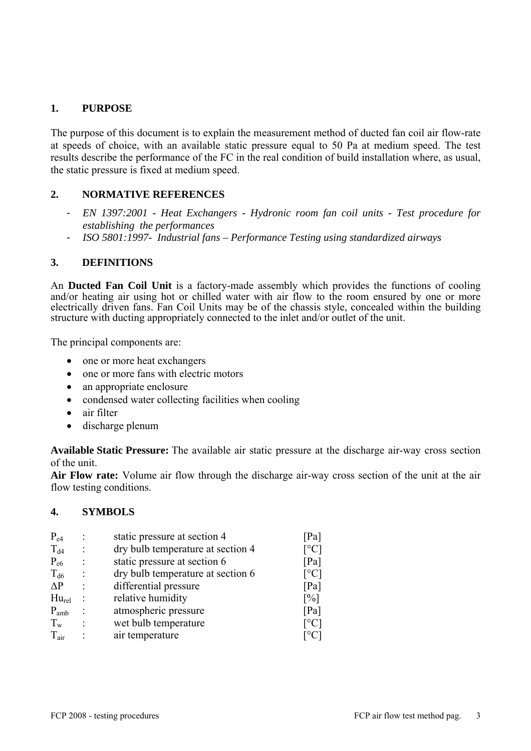### **1. PURPOSE**

The purpose of this document is to explain the measurement method of ducted fan coil air flow-rate at speeds of choice, with an available static pressure equal to 50 Pa at medium speed. The test results describe the performance of the FC in the real condition of build installation where, as usual, the static pressure is fixed at medium speed.

### **2. NORMATIVE REFERENCES**

- *EN 1397:2001 Heat Exchangers Hydronic room fan coil units Test procedure for establishing the performances*
- *ISO 5801:1997- Industrial fans Performance Testing using standardized airways*

#### **3. DEFINITIONS**

An **Ducted Fan Coil Unit** is a factory-made assembly which provides the functions of cooling and/or heating air using hot or chilled water with air flow to the room ensured by one or more electrically driven fans. Fan Coil Units may be of the chassis style, concealed within the building structure with ducting appropriately connected to the inlet and/or outlet of the unit.

The principal components are:

- one or more heat exchangers
- one or more fans with electric motors
- an appropriate enclosure
- condensed water collecting facilities when cooling
- air filter
- discharge plenum

**Available Static Pressure:** The available air static pressure at the discharge air-way cross section of the unit.

**Air Flow rate:** Volume air flow through the discharge air-way cross section of the unit at the air flow testing conditions.

#### **4. SYMBOLS**

| $P_{e4}$<br>$T_{d4}$ | static pressure at section 4<br>dry bulb temperature at section 4 | Pa <br>$\lceil{^{\circ}C}\rceil$ |
|----------------------|-------------------------------------------------------------------|----------------------------------|
| $P_{e6}$             | static pressure at section 6                                      | [Pa]                             |
| $T_{d6}$             | dry bulb temperature at section 6                                 | $\lceil{^{\circ}C}\rceil$        |
| $\Delta P$           | differential pressure                                             | [Pa]                             |
| $Hu_{rel}$           | relative humidity                                                 | $\lceil\% \rceil$                |
| $P_{amb}$            | atmospheric pressure                                              | [Pa]                             |
| $T_{w}$              | wet bulb temperature                                              | $\lceil{^{\circ}C}\rceil$        |
| $T_{air}$            | air temperature                                                   | $1^{\circ}$ C                    |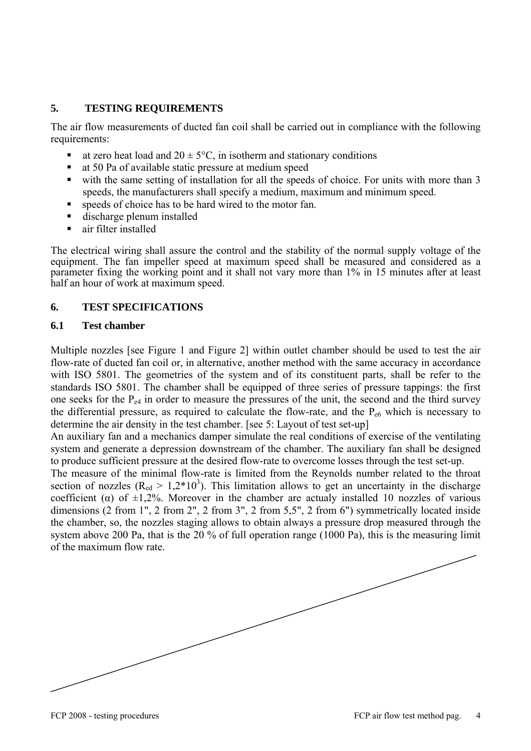#### **5. TESTING REQUIREMENTS**

The air flow measurements of ducted fan coil shall be carried out in compliance with the following requirements:

- at zero heat load and  $20 \pm 5^{\circ}$ C, in isotherm and stationary conditions
- at 50 Pa of available static pressure at medium speed
- with the same setting of installation for all the speeds of choice. For units with more than 3 speeds, the manufacturers shall specify a medium, maximum and minimum speed.
- speeds of choice has to be hard wired to the motor fan.
- discharge plenum installed
- air filter installed

The electrical wiring shall assure the control and the stability of the normal supply voltage of the equipment. The fan impeller speed at maximum speed shall be measured and considered as a parameter fixing the working point and it shall not vary more than 1% in 15 minutes after at least half an hour of work at maximum speed.

#### **6. TEST SPECIFICATIONS**

#### **6.1 Test chamber**

Multiple nozzles [see Figure 1 and Figure 2] within outlet chamber should be used to test the air flow-rate of ducted fan coil or, in alternative, another method with the same accuracy in accordance with ISO 5801. The geometries of the system and of its constituent parts, shall be refer to the standards ISO 5801. The chamber shall be equipped of three series of pressure tappings: the first one seeks for the  $P_{e4}$  in order to measure the pressures of the unit, the second and the third survey the differential pressure, as required to calculate the flow-rate, and the  $P_{\text{ef}}$  which is necessary to determine the air density in the test chamber. [see 5: Layout of test set-up]

An auxiliary fan and a mechanics damper simulate the real conditions of exercise of the ventilating system and generate a depression downstream of the chamber. The auxiliary fan shall be designed to produce sufficient pressure at the desired flow-rate to overcome losses through the test set-up.

The measure of the minimal flow-rate is limited from the Reynolds number related to the throat section of nozzles ( $R_{ed} > 1.2*10<sup>3</sup>$ ). This limitation allows to get an uncertainty in the discharge coefficient ( $\alpha$ ) of  $\pm 1,2\%$ . Moreover in the chamber are actualy installed 10 nozzles of various dimensions (2 from 1", 2 from 2", 2 from 3", 2 from 5,5", 2 from 6") symmetrically located inside the chamber, so, the nozzles staging allows to obtain always a pressure drop measured through the system above 200 Pa, that is the 20 % of full operation range (1000 Pa), this is the measuring limit of the maximum flow rate.

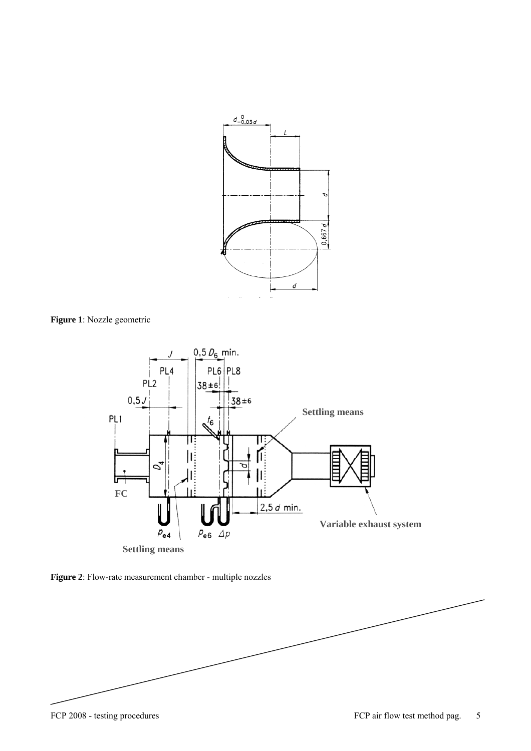

**Figure 1**: Nozzle geometric



**Figure 2**: Flow-rate measurement chamber - multiple nozzles

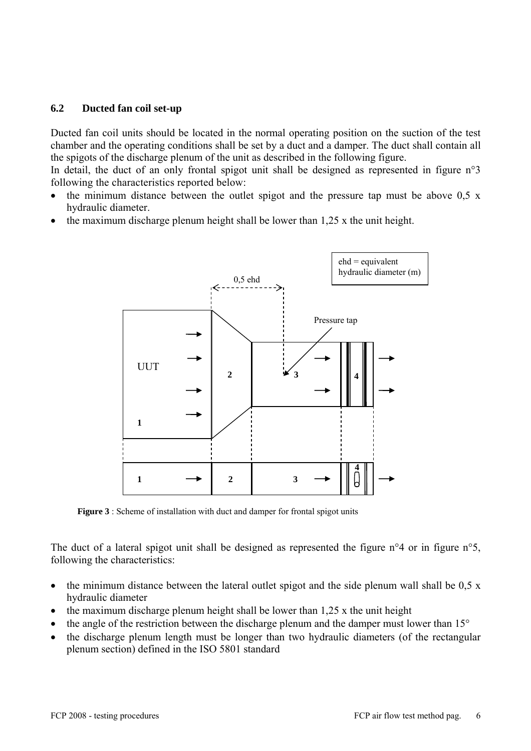#### **6.2 Ducted fan coil set-up**

Ducted fan coil units should be located in the normal operating position on the suction of the test chamber and the operating conditions shall be set by a duct and a damper. The duct shall contain all the spigots of the discharge plenum of the unit as described in the following figure.

In detail, the duct of an only frontal spigot unit shall be designed as represented in figure n°3 following the characteristics reported below:

- the minimum distance between the outlet spigot and the pressure tap must be above  $0.5 \times 10^{-10}$ hydraulic diameter.
- the maximum discharge plenum height shall be lower than 1,25 x the unit height.



**Figure 3** : Scheme of installation with duct and damper for frontal spigot units

The duct of a lateral spigot unit shall be designed as represented the figure n°4 or in figure n°5, following the characteristics:

- the minimum distance between the lateral outlet spigot and the side plenum wall shall be  $0.5 \times$ hydraulic diameter
- the maximum discharge plenum height shall be lower than  $1,25$  x the unit height
- the angle of the restriction between the discharge plenum and the damper must lower than  $15^{\circ}$
- the discharge plenum length must be longer than two hydraulic diameters (of the rectangular plenum section) defined in the ISO 5801 standard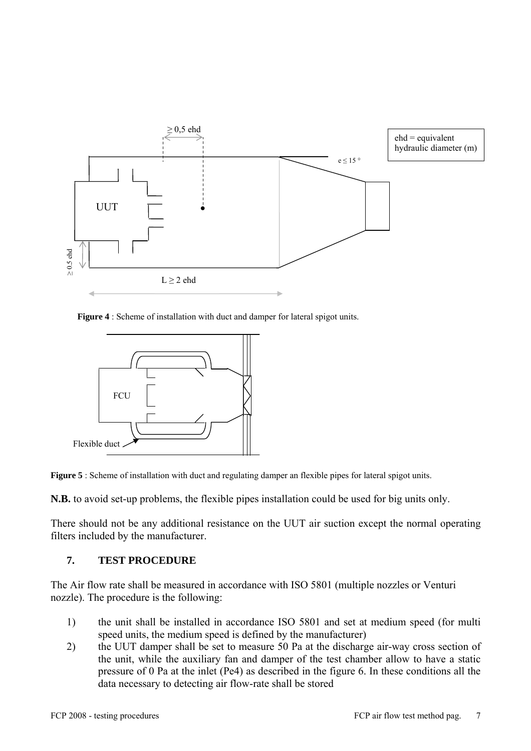

 **Figure 4** : Scheme of installation with duct and damper for lateral spigot units.





**N.B.** to avoid set-up problems, the flexible pipes installation could be used for big units only.

There should not be any additional resistance on the UUT air suction except the normal operating filters included by the manufacturer.

#### **7. TEST PROCEDURE**

The Air flow rate shall be measured in accordance with ISO 5801 (multiple nozzles or Venturi nozzle). The procedure is the following:

- 1) the unit shall be installed in accordance ISO 5801 and set at medium speed (for multi speed units, the medium speed is defined by the manufacturer)
- 2) the UUT damper shall be set to measure 50 Pa at the discharge air-way cross section of the unit, while the auxiliary fan and damper of the test chamber allow to have a static pressure of 0 Pa at the inlet (Pe4) as described in the figure 6. In these conditions all the data necessary to detecting air flow-rate shall be stored